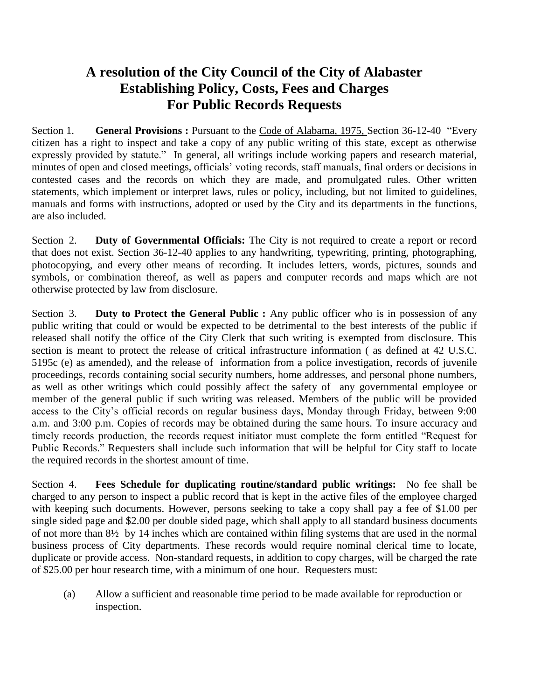## **A resolution of the City Council of the City of Alabaster Establishing Policy, Costs, Fees and Charges For Public Records Requests**

Section 1. **General Provisions :** Pursuant to the Code of Alabama, 1975, Section 36-12-40 "Every citizen has a right to inspect and take a copy of any public writing of this state, except as otherwise expressly provided by statute." In general, all writings include working papers and research material, minutes of open and closed meetings, officials' voting records, staff manuals, final orders or decisions in contested cases and the records on which they are made, and promulgated rules. Other written statements, which implement or interpret laws, rules or policy, including, but not limited to guidelines, manuals and forms with instructions, adopted or used by the City and its departments in the functions, are also included.

Section 2. **Duty of Governmental Officials:** The City is not required to create a report or record that does not exist. Section 36-12-40 applies to any handwriting, typewriting, printing, photographing, photocopying, and every other means of recording. It includes letters, words, pictures, sounds and symbols, or combination thereof, as well as papers and computer records and maps which are not otherwise protected by law from disclosure.

Section 3. **Duty to Protect the General Public :** Any public officer who is in possession of any public writing that could or would be expected to be detrimental to the best interests of the public if released shall notify the office of the City Clerk that such writing is exempted from disclosure. This section is meant to protect the release of critical infrastructure information ( as defined at 42 U.S.C. 5195c (e) as amended), and the release of information from a police investigation, records of juvenile proceedings, records containing social security numbers, home addresses, and personal phone numbers, as well as other writings which could possibly affect the safety of any governmental employee or member of the general public if such writing was released. Members of the public will be provided access to the City's official records on regular business days, Monday through Friday, between 9:00 a.m. and 3:00 p.m. Copies of records may be obtained during the same hours. To insure accuracy and timely records production, the records request initiator must complete the form entitled "Request for Public Records." Requesters shall include such information that will be helpful for City staff to locate the required records in the shortest amount of time.

Section 4. **Fees Schedule for duplicating routine/standard public writings:** No fee shall be charged to any person to inspect a public record that is kept in the active files of the employee charged with keeping such documents. However, persons seeking to take a copy shall pay a fee of \$1.00 per single sided page and \$2.00 per double sided page, which shall apply to all standard business documents of not more than 8½ by 14 inches which are contained within filing systems that are used in the normal business process of City departments. These records would require nominal clerical time to locate, duplicate or provide access. Non-standard requests, in addition to copy charges, will be charged the rate of \$25.00 per hour research time, with a minimum of one hour. Requesters must:

(a) Allow a sufficient and reasonable time period to be made available for reproduction or inspection.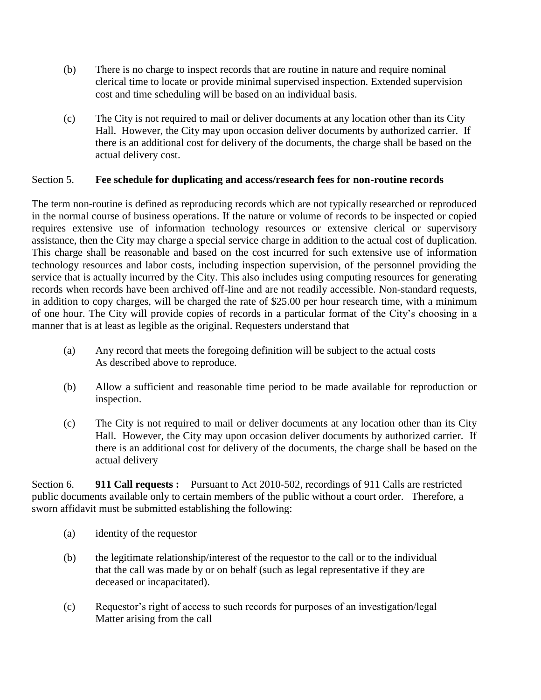- (b) There is no charge to inspect records that are routine in nature and require nominal clerical time to locate or provide minimal supervised inspection. Extended supervision cost and time scheduling will be based on an individual basis.
- (c) The City is not required to mail or deliver documents at any location other than its City Hall. However, the City may upon occasion deliver documents by authorized carrier. If there is an additional cost for delivery of the documents, the charge shall be based on the actual delivery cost.

### Section 5. **Fee schedule for duplicating and access/research fees for non-routine records**

The term non-routine is defined as reproducing records which are not typically researched or reproduced in the normal course of business operations. If the nature or volume of records to be inspected or copied requires extensive use of information technology resources or extensive clerical or supervisory assistance, then the City may charge a special service charge in addition to the actual cost of duplication. This charge shall be reasonable and based on the cost incurred for such extensive use of information technology resources and labor costs, including inspection supervision, of the personnel providing the service that is actually incurred by the City. This also includes using computing resources for generating records when records have been archived off-line and are not readily accessible. Non-standard requests, in addition to copy charges, will be charged the rate of \$25.00 per hour research time, with a minimum of one hour. The City will provide copies of records in a particular format of the City's choosing in a manner that is at least as legible as the original. Requesters understand that

- (a) Any record that meets the foregoing definition will be subject to the actual costs As described above to reproduce.
- (b) Allow a sufficient and reasonable time period to be made available for reproduction or inspection.
- (c) The City is not required to mail or deliver documents at any location other than its City Hall. However, the City may upon occasion deliver documents by authorized carrier. If there is an additional cost for delivery of the documents, the charge shall be based on the actual delivery

Section 6. **911 Call requests :** Pursuant to Act 2010-502, recordings of 911 Calls are restricted public documents available only to certain members of the public without a court order. Therefore, a sworn affidavit must be submitted establishing the following:

- (a) identity of the requestor
- (b) the legitimate relationship/interest of the requestor to the call or to the individual that the call was made by or on behalf (such as legal representative if they are deceased or incapacitated).
- (c) Requestor's right of access to such records for purposes of an investigation/legal Matter arising from the call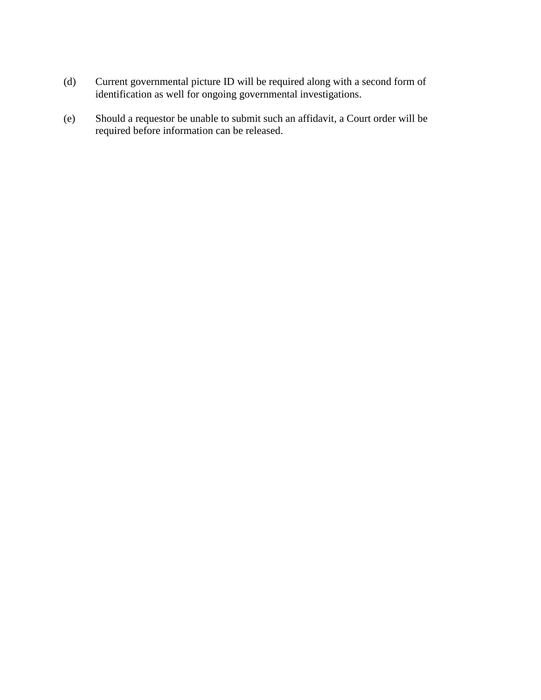- (d) Current governmental picture ID will be required along with a second form of identification as well for ongoing governmental investigations.
- (e) Should a requestor be unable to submit such an affidavit, a Court order will be required before information can be released.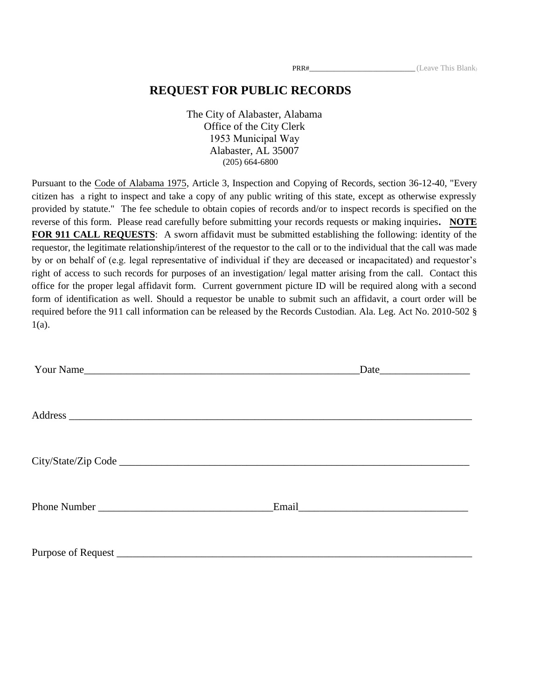### **REQUEST FOR PUBLIC RECORDS**

The City of Alabaster, Alabama Office of the City Clerk 1953 Municipal Way Alabaster, AL 35007 (205) 664-6800

Pursuant to the Code of Alabama 1975, Article 3, Inspection and Copying of Records, section 36-12-40, "Every citizen has a right to inspect and take a copy of any public writing of this state, except as otherwise expressly provided by statute." The fee schedule to obtain copies of records and/or to inspect records is specified on the reverse of this form. Please read carefully before submitting your records requests or making inquiries**. NOTE FOR 911 CALL REQUESTS**: A sworn affidavit must be submitted establishing the following: identity of the requestor, the legitimate relationship/interest of the requestor to the call or to the individual that the call was made by or on behalf of (e.g. legal representative of individual if they are deceased or incapacitated) and requestor's right of access to such records for purposes of an investigation/ legal matter arising from the call. Contact this office for the proper legal affidavit form. Current government picture ID will be required along with a second form of identification as well. Should a requestor be unable to submit such an affidavit, a court order will be required before the 911 call information can be released by the Records Custodian. Ala. Leg. Act No. 2010-502 § 1(a).

| Your Name | $\text{Date}$ |
|-----------|---------------|
|           |               |
|           |               |
|           |               |
|           |               |
|           | Email         |
|           |               |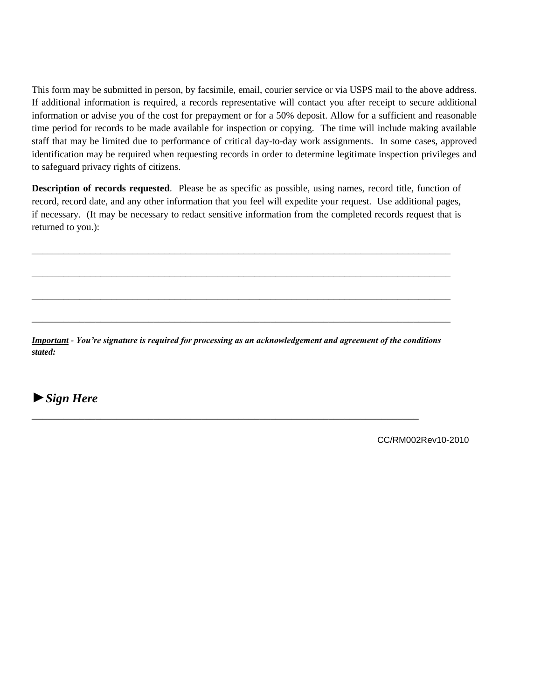This form may be submitted in person, by facsimile, email, courier service or via USPS mail to the above address. If additional information is required, a records representative will contact you after receipt to secure additional information or advise you of the cost for prepayment or for a 50% deposit. Allow for a sufficient and reasonable time period for records to be made available for inspection or copying. The time will include making available staff that may be limited due to performance of critical day-to-day work assignments. In some cases, approved identification may be required when requesting records in order to determine legitimate inspection privileges and to safeguard privacy rights of citizens.

**Description of records requested**. Please be as specific as possible, using names, record title, function of record, record date, and any other information that you feel will expedite your request. Use additional pages, if necessary. (It may be necessary to redact sensitive information from the completed records request that is returned to you.):

\_\_\_\_\_\_\_\_\_\_\_\_\_\_\_\_\_\_\_\_\_\_\_\_\_\_\_\_\_\_\_\_\_\_\_\_\_\_\_\_\_\_\_\_\_\_\_\_\_\_\_\_\_\_\_\_\_\_\_\_\_\_\_\_\_\_\_\_\_\_\_\_\_\_\_\_\_\_\_

\_\_\_\_\_\_\_\_\_\_\_\_\_\_\_\_\_\_\_\_\_\_\_\_\_\_\_\_\_\_\_\_\_\_\_\_\_\_\_\_\_\_\_\_\_\_\_\_\_\_\_\_\_\_\_\_\_\_\_\_\_\_\_\_\_\_\_\_\_\_\_\_\_\_\_\_\_\_\_

\_\_\_\_\_\_\_\_\_\_\_\_\_\_\_\_\_\_\_\_\_\_\_\_\_\_\_\_\_\_\_\_\_\_\_\_\_\_\_\_\_\_\_\_\_\_\_\_\_\_\_\_\_\_\_\_\_\_\_\_\_\_\_\_\_\_\_\_\_\_\_\_\_\_\_\_\_\_\_

\_\_\_\_\_\_\_\_\_\_\_\_\_\_\_\_\_\_\_\_\_\_\_\_\_\_\_\_\_\_\_\_\_\_\_\_\_\_\_\_\_\_\_\_\_\_\_\_\_\_\_\_\_\_\_\_\_\_\_\_\_\_\_\_\_\_\_\_\_\_\_\_\_\_\_\_\_\_\_

*Important - You're signature is required for processing as an acknowledgement and agreement of the conditions stated:* 

\_\_\_\_\_\_\_\_\_\_\_\_\_\_\_\_\_\_\_\_\_\_\_\_\_\_\_\_\_\_\_\_\_\_\_\_\_\_\_\_\_\_\_\_\_\_\_\_\_\_\_\_\_\_\_\_\_\_\_\_\_\_\_\_\_\_\_\_\_\_\_\_\_

►*Sign Here*

CC/RM002Rev10-2010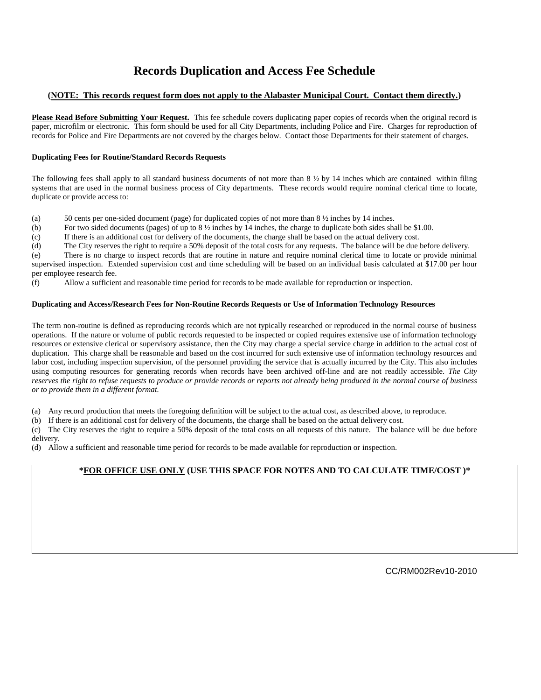## **Records Duplication and Access Fee Schedule**

#### **(NOTE: This records request form does not apply to the Alabaster Municipal Court. Contact them directly.)**

**Please Read Before Submitting Your Request.** This fee schedule covers duplicating paper copies of records when the original record is paper, microfilm or electronic. This form should be used for all City Departments, including Police and Fire. Charges for reproduction of records for Police and Fire Departments are not covered by the charges below. Contact those Departments for their statement of charges.

#### **Duplicating Fees for Routine/Standard Records Requests**

The following fees shall apply to all standard business documents of not more than 8 ½ by 14 inches which are contained within filing systems that are used in the normal business process of City departments. These records would require nominal clerical time to locate, duplicate or provide access to:

(a) 50 cents per one-sided document (page) for duplicated copies of not more than  $8\frac{1}{2}$  inches by 14 inches.

(b) For two sided documents (pages) of up to  $8\frac{1}{2}$  inches by 14 inches, the charge to duplicate both sides shall be \$1.00.

(c) If there is an additional cost for delivery of the documents, the charge shall be based on the actual delivery cost.

(d) The City reserves the right to require a 50% deposit of the total costs for any requests. The balance will be due before delivery.

(e) There is no charge to inspect records that are routine in nature and require nominal clerical time to locate or provide minimal supervised inspection. Extended supervision cost and time scheduling will be based on an individual basis calculated at \$17.00 per hour per employee research fee.

(f) Allow a sufficient and reasonable time period for records to be made available for reproduction or inspection.

#### **Duplicating and Access/Research Fees for Non-Routine Records Requests or Use of Information Technology Resources**

The term non-routine is defined as reproducing records which are not typically researched or reproduced in the normal course of business operations. If the nature or volume of public records requested to be inspected or copied requires extensive use of information technology resources or extensive clerical or supervisory assistance, then the City may charge a special service charge in addition to the actual cost of duplication. This charge shall be reasonable and based on the cost incurred for such extensive use of information technology resources and labor cost, including inspection supervision, of the personnel providing the service that is actually incurred by the City. This also includes using computing resources for generating records when records have been archived off-line and are not readily accessible. *The City reserves the right to refuse requests to produce or provide records or reports not already being produced in the normal course of business or to provide them in a different format.*

(a) Any record production that meets the foregoing definition will be subject to the actual cost, as described above, to reproduce.

(b) If there is an additional cost for delivery of the documents, the charge shall be based on the actual delivery cost.

(c) The City reserves the right to require a 50% deposit of the total costs on all requests of this nature. The balance will be due before delivery.

(d) Allow a sufficient and reasonable time period for records to be made available for reproduction or inspection.

#### **\*FOR OFFICE USE ONLY (USE THIS SPACE FOR NOTES AND TO CALCULATE TIME/COST )\***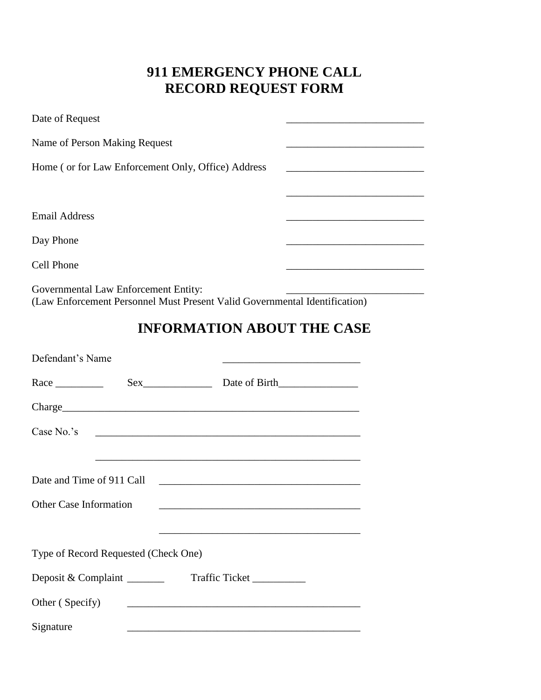## **911 EMERGENCY PHONE CALL RECORD REQUEST FORM**

| Date of Request                                                            |  |  |  |
|----------------------------------------------------------------------------|--|--|--|
| Name of Person Making Request                                              |  |  |  |
| Home (or for Law Enforcement Only, Office) Address                         |  |  |  |
|                                                                            |  |  |  |
| <b>Email Address</b>                                                       |  |  |  |
| Day Phone                                                                  |  |  |  |
| Cell Phone                                                                 |  |  |  |
| Governmental Law Enforcement Entity:                                       |  |  |  |
| (Law Enforcement Personnel Must Present Valid Governmental Identification) |  |  |  |

# **INFORMATION ABOUT THE CASE**

| Defendant's Name                     |  | the control of the control of the control of the control of the control of the control of                        |  |
|--------------------------------------|--|------------------------------------------------------------------------------------------------------------------|--|
|                                      |  |                                                                                                                  |  |
|                                      |  |                                                                                                                  |  |
|                                      |  |                                                                                                                  |  |
|                                      |  | <u> 1989 - Johann Stoff, amerikansk politiker (d. 1989)</u>                                                      |  |
| Date and Time of 911 Call            |  |                                                                                                                  |  |
| Other Case Information               |  |                                                                                                                  |  |
|                                      |  | and the control of the control of the control of the control of the control of the control of the control of the |  |
| Type of Record Requested (Check One) |  |                                                                                                                  |  |
| Deposit & Complaint                  |  | Traffic Ticket                                                                                                   |  |
| Other (Specify)                      |  |                                                                                                                  |  |
| Signature                            |  |                                                                                                                  |  |